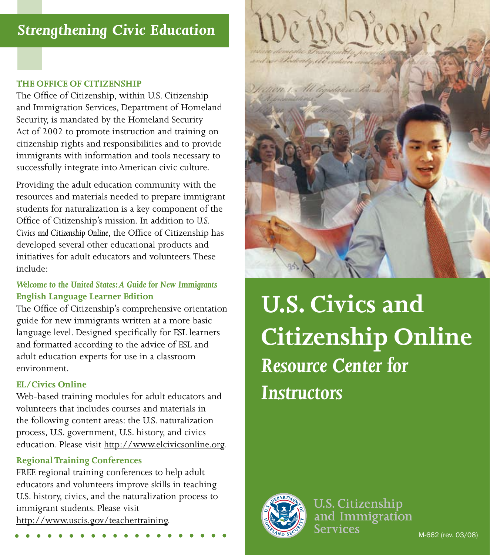# *Strengthening Civic Education*

## **THE OFFICE OF CITIZENSHIP**

The Office of Citizenship, within U.S. Citizenship and Immigration Services, Department of Homeland Security, is mandated by the Homeland Security Act of 2002 to promote instruction and training on citizenship rights and responsibilities and to provide immigrants with information and tools necessary to successfully integrate into American civic culture.

Providing the adult education community with the resources and materials needed to prepare immigrant students for naturalization is a key component of the Office of Citizenship's mission. In addition to *U.S. Civics and Citizenship Online*, the Office of Citizenship has developed several other educational products and initiatives for adult educators and volunteers. These include:

# *Welcome to the United States: A Guide for New Immigrants* **English Language Learner Edition**

The Office of Citizenship's comprehensive orientation guide for new immigrants written at a more basic language level. Designed specifically for ESL learners and formatted according to the advice of ESL and adult education experts for use in a classroom environment.

## **EL/Civics Online**

Web-based training modules for adult educators and volunteers that includes courses and materials in the following content areas: the U.S. naturalization process, U.S. government, U.S. history, and civics education. Please visit http://www.elcivicsonline.org.

## **Regional Training Conferences**

FREE regional training conferences to help adult educators and volunteers improve skills in teaching U.S. history, civics, and the naturalization process to immigrant students. Please visit http://www.uscis.gov/teachertraining.



**U.S. Civics and Citizenship Online** *Resource Center for Instructors*



**U.S. Citizenship** and Immigration Services